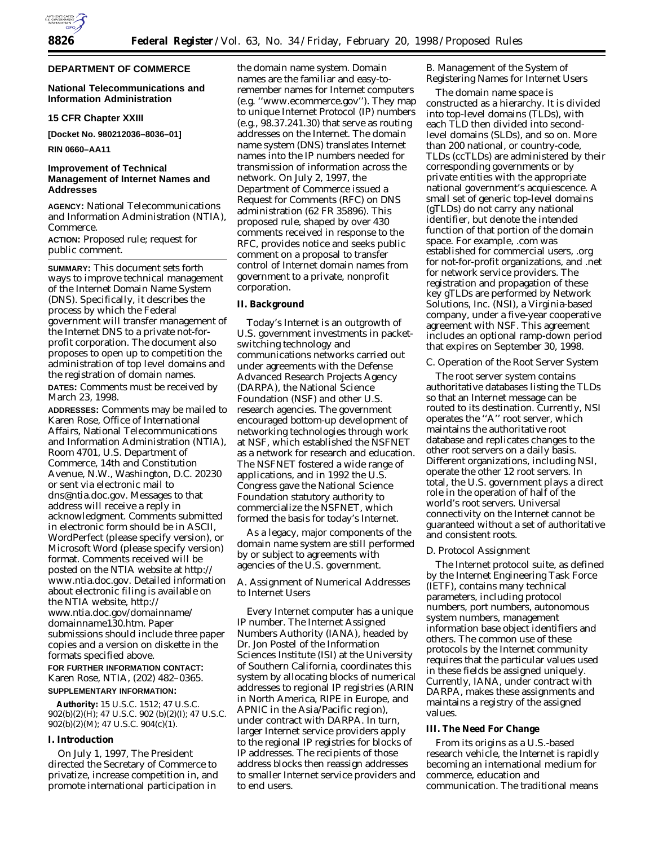## **DEPARTMENT OF COMMERCE**

# **National Telecommunications and Information Administration**

### **15 CFR Chapter XXIII**

**[Docket No. 980212036–8036–01]**

**RIN 0660–AA11**

# **Improvement of Technical Management of Internet Names and Addresses**

**AGENCY:** National Telecommunications and Information Administration (NTIA), Commerce.

**ACTION:** Proposed rule; request for public comment.

**SUMMARY:** This document sets forth ways to improve technical management of the Internet Domain Name System (DNS). Specifically, it describes the process by which the Federal government will transfer management of the Internet DNS to a private not-forprofit corporation. The document also proposes to open up to competition the administration of top level domains and the registration of domain names. **DATES:** Comments must be received by March 23, 1998.

**ADDRESSES:** Comments may be mailed to Karen Rose, Office of International Affairs, National Telecommunications and Information Administration (NTIA), Room 4701, U.S. Department of Commerce, 14th and Constitution Avenue, N.W., Washington, D.C. 20230 or sent via electronic mail to dns@ntia.doc.gov. Messages to that address will receive a reply in acknowledgment. Comments submitted in electronic form should be in ASCII, WordPerfect (please specify version), or Microsoft Word (please specify version) format. Comments received will be posted on the NTIA website at http:// www.ntia.doc.gov. Detailed information about electronic filing is available on the NTIA website, *http:// www.ntia.doc.gov/domainname/ domainname130.htm.* Paper submissions should include three paper copies and a version on diskette in the formats specified above.

# **FOR FURTHER INFORMATION CONTACT:** Karen Rose, NTIA, (202) 482–0365. **SUPPLEMENTARY INFORMATION:**

**Authority:** 15 U.S.C. 1512; 47 U.S.C.  $902(b)(2)(H)$ ; 47 U.S.C.  $902(b)(2)(I)$ ; 47 U.S.C. 902(b)(2)(M); 47 U.S.C. 904(c)(1).

## **I. Introduction**

On July 1, 1997, The President directed the Secretary of Commerce to privatize, increase competition in, and promote international participation in the domain name system. Domain names are the familiar and easy-toremember names for Internet computers (*e.g.* ''www.ecommerce.gov''). They map to unique Internet Protocol (IP) numbers (*e.g.*, 98.37.241.30) that serve as routing addresses on the Internet. The domain name system (DNS) translates Internet names into the IP numbers needed for transmission of information across the network. On July 2, 1997, the Department of Commerce issued a Request for Comments (RFC) on DNS administration (62 FR 35896). This proposed rule, shaped by over 430 comments received in response to the RFC, provides notice and seeks public comment on a proposal to transfer control of Internet domain names from government to a private, nonprofit corporation.

# **II. Background**

Today's Internet is an outgrowth of U.S. government investments in packetswitching technology and communications networks carried out under agreements with the Defense Advanced Research Projects Agency (DARPA), the National Science Foundation (NSF) and other U.S. research agencies. The government encouraged bottom-up development of networking technologies through work at NSF, which established the NSFNET as a network for research and education. The NSFNET fostered a wide range of applications, and in 1992 the U.S. Congress gave the National Science Foundation statutory authority to commercialize the NSFNET, which formed the basis for today's Internet.

As a legacy, major components of the domain name system are still performed by or subject to agreements with agencies of the U.S. government.

# *A. Assignment of Numerical Addresses to Internet Users*

Every Internet computer has a unique IP number. The Internet Assigned Numbers Authority (IANA), headed by Dr. Jon Postel of the Information Sciences Institute (ISI) at the University of Southern California, coordinates this system by allocating blocks of numerical addresses to regional IP registries (ARIN in North America, RIPE in Europe, and APNIC in the Asia/Pacific region), under contract with DARPA. In turn, larger Internet service providers apply to the regional IP registries for blocks of IP addresses. The recipients of those address blocks then reassign addresses to smaller Internet service providers and to end users.

# *B. Management of the System of Registering Names for Internet Users*

The domain name space is constructed as a hierarchy. It is divided into top-level domains (TLDs), with each TLD then divided into secondlevel domains (SLDs), and so on. More than 200 national, or country-code, TLDs (ccTLDs) are administered by their corresponding governments or by private entities with the appropriate national government's acquiescence. A small set of generic top-level domains (gTLDs) do not carry any national identifier, but denote the intended function of that portion of the domain space. For example, .com was established for commercial users, .org for not-for-profit organizations, and .net for network service providers. The registration and propagation of these key gTLDs are performed by Network Solutions, Inc. (NSI), a Virginia-based company, under a five-year cooperative agreement with NSF. This agreement includes an optional ramp-down period that expires on September 30, 1998.

## *C. Operation of the Root Server System*

The root server system contains authoritative databases listing the TLDs so that an Internet message can be routed to its destination. Currently, NSI operates the ''A'' root server, which maintains the authoritative root database and replicates changes to the other root servers on a daily basis. Different organizations, including NSI, operate the other 12 root servers. In total, the U.S. government plays a direct role in the operation of half of the world's root servers. Universal connectivity on the Internet cannot be guaranteed without a set of authoritative and consistent roots.

#### *D. Protocol Assignment*

The Internet protocol suite, as defined by the Internet Engineering Task Force (IETF), contains many technical parameters, including protocol numbers, port numbers, autonomous system numbers, management information base object identifiers and others. The common use of these protocols by the Internet community requires that the particular values used in these fields be assigned uniquely. Currently, IANA, under contract with DARPA, makes these assignments and maintains a registry of the assigned values.

## **III. The Need For Change**

From its origins as a U.S.-based research vehicle, the Internet is rapidly becoming an international medium for commerce, education and communication. The traditional means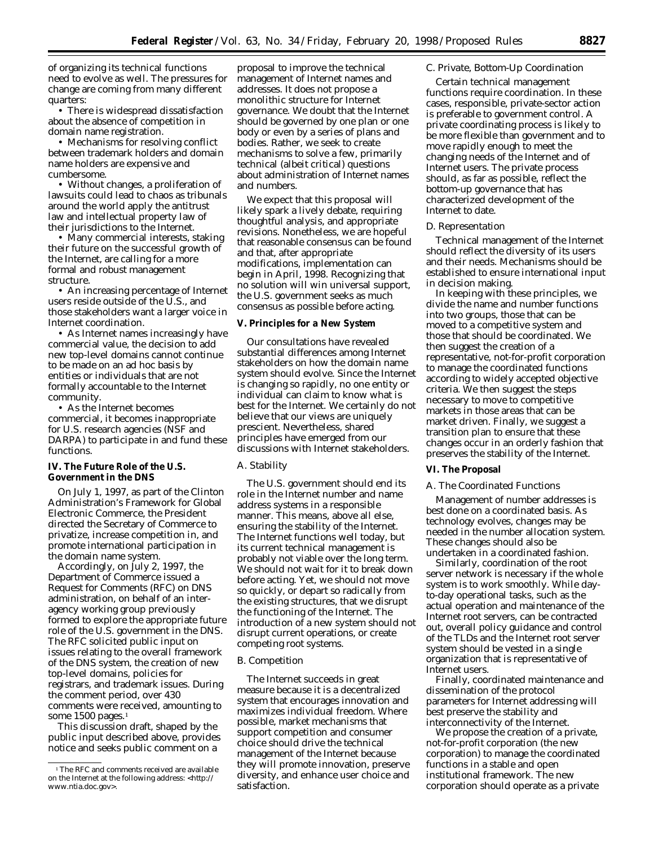of organizing its technical functions need to evolve as well. The pressures for change are coming from many different quarters:

• There is widespread dissatisfaction about the absence of competition in domain name registration.

• Mechanisms for resolving conflict between trademark holders and domain name holders are expensive and cumbersome.

• Without changes, a proliferation of lawsuits could lead to chaos as tribunals around the world apply the antitrust law and intellectual property law of their jurisdictions to the Internet.

• Many commercial interests, staking their future on the successful growth of the Internet, are calling for a more formal and robust management structure.

• An increasing percentage of Internet users reside outside of the U.S., and those stakeholders want a larger voice in Internet coordination.

• As Internet names increasingly have commercial value, the decision to add new top-level domains cannot continue to be made on an ad hoc basis by entities or individuals that are not formally accountable to the Internet community.

• As the Internet becomes commercial, it becomes inappropriate for U.S. research agencies (NSF and DARPA) to participate in and fund these functions.

## **IV. The Future Role of the U.S. Government in the DNS**

On July 1, 1997, as part of the Clinton Administration's Framework for Global Electronic Commerce, the President directed the Secretary of Commerce to privatize, increase competition in, and promote international participation in the domain name system.

Accordingly, on July 2, 1997, the Department of Commerce issued a Request for Comments (RFC) on DNS administration, on behalf of an interagency working group previously formed to explore the appropriate future role of the U.S. government in the DNS. The RFC solicited public input on issues relating to the overall framework of the DNS system, the creation of new top-level domains, policies for registrars, and trademark issues. During the comment period, over 430 comments were received, amounting to some 1500 pages.<sup>1</sup>

This discussion draft, shaped by the public input described above, provides notice and seeks public comment on a

proposal to improve the technical management of Internet names and addresses. It does not propose a monolithic structure for Internet governance. We doubt that the Internet should be governed by one plan or one body or even by a series of plans and bodies. Rather, we seek to create mechanisms to solve a few, primarily technical (albeit critical) questions about administration of Internet names and numbers.

We expect that this proposal will likely spark a lively debate, requiring thoughtful analysis, and appropriate revisions. Nonetheless, we are hopeful that reasonable consensus can be found and that, after appropriate modifications, implementation can begin in April, 1998. Recognizing that no solution will win universal support, the U.S. government seeks as much consensus as possible before acting.

## **V. Principles for a New System**

Our consultations have revealed substantial differences among Internet stakeholders on how the domain name system should evolve. Since the Internet is changing so rapidly, no one entity or individual can claim to know what is best for the Internet. We certainly do not believe that our views are uniquely prescient. Nevertheless, shared principles have emerged from our discussions with Internet stakeholders.

# *A. Stability*

The U.S. government should end its role in the Internet number and name address systems in a responsible manner. This means, above all else, ensuring the stability of the Internet. The Internet functions well today, but its current technical management is probably not viable over the long term. We should not wait for it to break down before acting. Yet, we should not move so quickly, or depart so radically from the existing structures, that we disrupt the functioning of the Internet. The introduction of a new system should not disrupt current operations, or create competing root systems.

#### *B. Competition*

The Internet succeeds in great measure because it is a decentralized system that encourages innovation and maximizes individual freedom. Where possible, market mechanisms that support competition and consumer choice should drive the technical management of the Internet because they will promote innovation, preserve diversity, and enhance user choice and satisfaction.

### *C. Private, Bottom-Up Coordination*

Certain technical management functions require coordination. In these cases, responsible, private-sector action is preferable to government control. A private coordinating process is likely to be more flexible than government and to move rapidly enough to meet the changing needs of the Internet and of Internet users. The private process should, as far as possible, reflect the bottom-up governance that has characterized development of the Internet to date.

### *D. Representation*

Technical management of the Internet should reflect the diversity of its users and their needs. Mechanisms should be established to ensure international input in decision making.

In keeping with these principles, we divide the name and number functions into two groups, those that can be moved to a competitive system and those that should be coordinated. We then suggest the creation of a representative, not-for-profit corporation to manage the coordinated functions according to widely accepted objective criteria. We then suggest the steps necessary to move to competitive markets in those areas that can be market driven. Finally, we suggest a transition plan to ensure that these changes occur in an orderly fashion that preserves the stability of the Internet.

#### **VI. The Proposal**

#### *A. The Coordinated Functions*

Management of number addresses is best done on a coordinated basis. As technology evolves, changes may be needed in the number allocation system. These changes should also be undertaken in a coordinated fashion.

Similarly, coordination of the root server network is necessary if the whole system is to work smoothly. While dayto-day operational tasks, such as the actual operation and maintenance of the Internet root servers, can be contracted out, overall policy guidance and control of the TLDs and the Internet root server system should be vested in a single organization that is representative of Internet users.

Finally, coordinated maintenance and dissemination of the protocol parameters for Internet addressing will best preserve the stability and interconnectivity of the Internet.

We propose the creation of a private, not-for-profit corporation (the new corporation) to manage the coordinated functions in a stable and open institutional framework. The new corporation should operate as a private

<sup>&</sup>lt;sup>1</sup>The RFC and comments received are available on the Internet at the following address: <http:// www.ntia.doc.gov>.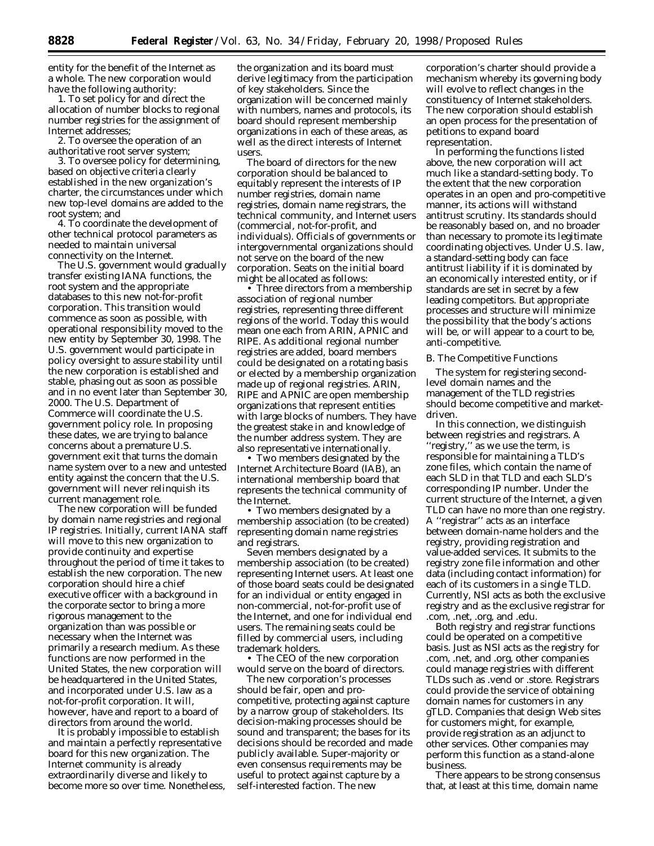entity for the benefit of the Internet as a whole. The new corporation would have the following authority:

1. To set policy for and direct the allocation of number blocks to regional number registries for the assignment of Internet addresses;

2. To oversee the operation of an authoritative root server system;

3. To oversee policy for determining, based on objective criteria clearly established in the new organization's charter, the circumstances under which new top-level domains are added to the root system; and

4. To coordinate the development of other technical protocol parameters as needed to maintain universal connectivity on the Internet.

The U.S. government would gradually transfer existing IANA functions, the root system and the appropriate databases to this new not-for-profit corporation. This transition would commence as soon as possible, with operational responsibility moved to the new entity by September 30, 1998. The U.S. government would participate in policy oversight to assure stability until the new corporation is established and stable, phasing out as soon as possible and in no event later than September 30, 2000. The U.S. Department of Commerce will coordinate the U.S. government policy role. In proposing these dates, we are trying to balance concerns about a premature U.S. government exit that turns the domain name system over to a new and untested entity against the concern that the U.S. government will never relinquish its current management role.

The new corporation will be funded by domain name registries and regional IP registries. Initially, current IANA staff will move to this new organization to provide continuity and expertise throughout the period of time it takes to establish the new corporation. The new corporation should hire a chief executive officer with a background in the corporate sector to bring a more rigorous management to the organization than was possible or necessary when the Internet was primarily a research medium. As these functions are now performed in the United States, the new corporation will be headquartered in the United States, and incorporated under U.S. law as a not-for-profit corporation. It will, however, have and report to a board of directors from around the world.

It is probably impossible to establish and maintain a perfectly representative board for this new organization. The Internet community is already extraordinarily diverse and likely to become more so over time. Nonetheless, the organization and its board must derive legitimacy from the participation of key stakeholders. Since the organization will be concerned mainly with numbers, names and protocols, its board should represent membership organizations in each of these areas, as well as the direct interests of Internet users.

The board of directors for the new corporation should be balanced to equitably represent the interests of IP number registries, domain name registries, domain name registrars, the technical community, and Internet users (commercial, not-for-profit, and individuals). Officials of governments or intergovernmental organizations should not serve on the board of the new corporation. Seats on the initial board might be allocated as follows:

• Three directors from a membership association of regional number registries, representing three different regions of the world. Today this would mean one each from ARIN, APNIC and RIPE. As additional regional number registries are added, board members could be designated on a rotating basis or elected by a membership organization made up of regional registries. ARIN, RIPE and APNIC are open membership organizations that represent entities with large blocks of numbers. They have the greatest stake in and knowledge of the number address system. They are also representative internationally.

• Two members designated by the Internet Architecture Board (IAB), an international membership board that represents the technical community of the Internet.

• Two members designated by a membership association (to be created) representing domain name registries and registrars.

Seven members designated by a membership association (to be created) representing Internet users. At least one of those board seats could be designated for an individual or entity engaged in non-commercial, not-for-profit use of the Internet, and one for individual end users. The remaining seats could be filled by commercial users, including trademark holders.

• The CEO of the new corporation would serve on the board of directors.

The new corporation's processes should be fair, open and procompetitive, protecting against capture by a narrow group of stakeholders. Its decision-making processes should be sound and transparent; the bases for its decisions should be recorded and made publicly available. Super-majority or even consensus requirements may be useful to protect against capture by a self-interested faction. The new

corporation's charter should provide a mechanism whereby its governing body will evolve to reflect changes in the constituency of Internet stakeholders. The new corporation should establish an open process for the presentation of petitions to expand board representation.

In performing the functions listed above, the new corporation will act much like a standard-setting body. To the extent that the new corporation operates in an open and pro-competitive manner, its actions will withstand antitrust scrutiny. Its standards should be reasonably based on, and no broader than necessary to promote its legitimate coordinating objectives. Under U.S. law, a standard-setting body can face antitrust liability if it is dominated by an economically interested entity, or if standards are set in secret by a few leading competitors. But appropriate processes and structure will minimize the possibility that the body's actions will be, or will appear to a court to be, anti-competitive.

#### *B. The Competitive Functions*

The system for registering secondlevel domain names and the management of the TLD registries should become competitive and marketdriven.

In this connection, we distinguish between registries and registrars. A ''registry,'' as we use the term, is responsible for maintaining a TLD's zone files, which contain the name of each SLD in that TLD and each SLD's corresponding IP number. Under the current structure of the Internet, a given TLD can have no more than one registry. A ''registrar'' acts as an interface between domain-name holders and the registry, providing registration and value-added services. It submits to the registry zone file information and other data (including contact information) for each of its customers in a single TLD. Currently, NSI acts as both the exclusive registry and as the exclusive registrar for .com, .net, .org, and .edu.

Both registry and registrar functions could be operated on a competitive basis. Just as NSI acts as the registry for .com, .net, and .org, other companies could manage registries with different TLDs such as .vend or .store. Registrars could provide the service of obtaining domain names for customers in any gTLD. Companies that design Web sites for customers might, for example, provide registration as an adjunct to other services. Other companies may perform this function as a stand-alone business.

There appears to be strong consensus that, at least at this time, domain name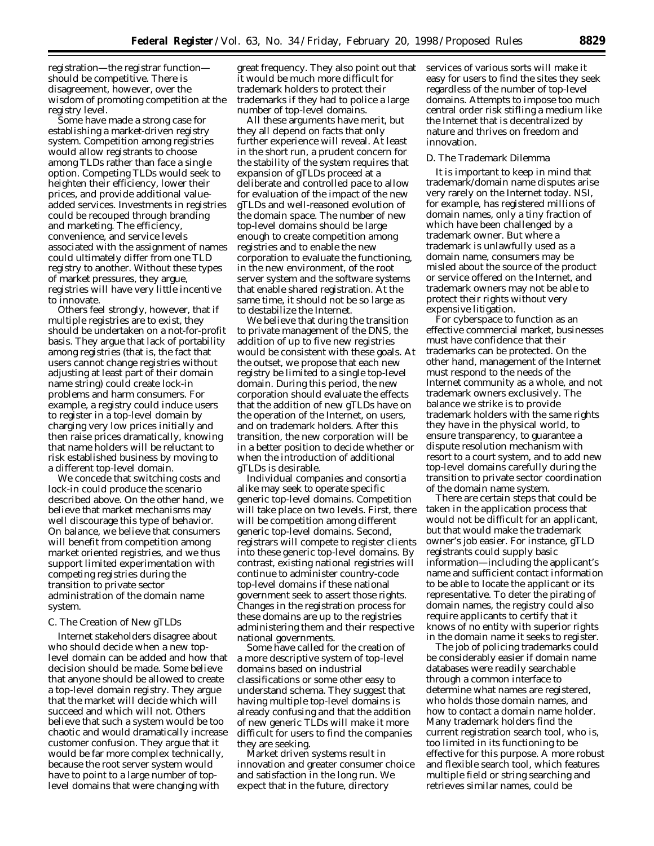registration—the registrar function should be competitive. There is disagreement, however, over the wisdom of promoting competition at the registry level.

Some have made a strong case for establishing a market-driven registry system. Competition among registries would allow registrants to choose among TLDs rather than face a single option. Competing TLDs would seek to heighten their efficiency, lower their prices, and provide additional valueadded services. Investments in registries could be recouped through branding and marketing. The efficiency, convenience, and service levels associated with the assignment of names could ultimately differ from one TLD registry to another. Without these types of market pressures, they argue, registries will have very little incentive to innovate.

Others feel strongly, however, that if multiple registries are to exist, they should be undertaken on a not-for-profit basis. They argue that lack of portability among registries (that is, the fact that users cannot change registries without adjusting at least part of their domain name string) could create lock-in problems and harm consumers. For example, a registry could induce users to register in a top-level domain by charging very low prices initially and then raise prices dramatically, knowing that name holders will be reluctant to risk established business by moving to a different top-level domain.

We concede that switching costs and lock-in could produce the scenario described above. On the other hand, we believe that market mechanisms may well discourage this type of behavior. On balance, we believe that consumers will benefit from competition among market oriented registries, and we thus support limited experimentation with competing registries during the transition to private sector administration of the domain name system.

## *C. The Creation of New gTLDs*

Internet stakeholders disagree about who should decide when a new toplevel domain can be added and how that decision should be made. Some believe that anyone should be allowed to create a top-level domain registry. They argue that the market will decide which will succeed and which will not. Others believe that such a system would be too chaotic and would dramatically increase customer confusion. They argue that it would be far more complex technically, because the root server system would have to point to a large number of toplevel domains that were changing with

great frequency. They also point out that it would be much more difficult for trademark holders to protect their trademarks if they had to police a large number of top-level domains.

All these arguments have merit, but they all depend on facts that only further experience will reveal. At least in the short run, a prudent concern for the stability of the system requires that expansion of gTLDs proceed at a deliberate and controlled pace to allow for evaluation of the impact of the new gTLDs and well-reasoned evolution of the domain space. The number of new top-level domains should be large enough to create competition among registries and to enable the new corporation to evaluate the functioning, in the new environment, of the root server system and the software systems that enable shared registration. At the same time, it should not be so large as to destabilize the Internet.

We believe that during the transition to private management of the DNS, the addition of up to five new registries would be consistent with these goals. At the outset, we propose that each new registry be limited to a single top-level domain. During this period, the new corporation should evaluate the effects that the addition of new gTLDs have on the operation of the Internet, on users, and on trademark holders. After this transition, the new corporation will be in a better position to decide whether or when the introduction of additional gTLDs is desirable.

Individual companies and consortia alike may seek to operate specific generic top-level domains. Competition will take place on two levels. First, there will be competition among different generic top-level domains. Second, registrars will compete to register clients into these generic top-level domains. By contrast, existing national registries will continue to administer country-code top-level domains if these national government seek to assert those rights. Changes in the registration process for these domains are up to the registries administering them and their respective national governments.

Some have called for the creation of a more descriptive system of top-level domains based on industrial classifications or some other easy to understand schema. They suggest that having multiple top-level domains is already confusing and that the addition of new generic TLDs will make it more difficult for users to find the companies they are seeking.

Market driven systems result in innovation and greater consumer choice and satisfaction in the long run. We expect that in the future, directory

services of various sorts will make it easy for users to find the sites they seek regardless of the number of top-level domains. Attempts to impose too much central order risk stifling a medium like the Internet that is decentralized by nature and thrives on freedom and innovation.

### *D. The Trademark Dilemma*

It is important to keep in mind that trademark/domain name disputes arise very rarely on the Internet today. NSI, for example, has registered millions of domain names, only a tiny fraction of which have been challenged by a trademark owner. But where a trademark is unlawfully used as a domain name, consumers may be misled about the source of the product or service offered on the Internet, and trademark owners may not be able to protect their rights without very expensive litigation.

For cyberspace to function as an effective commercial market, businesses must have confidence that their trademarks can be protected. On the other hand, management of the Internet must respond to the needs of the Internet community as a whole, and not trademark owners exclusively. The balance we strike is to provide trademark holders with the same rights they have in the physical world, to ensure transparency, to guarantee a dispute resolution mechanism with resort to a court system, and to add new top-level domains carefully during the transition to private sector coordination of the domain name system.

There are certain steps that could be taken in the application process that would not be difficult for an applicant, but that would make the trademark owner's job easier. For instance, gTLD registrants could supply basic information—including the applicant's name and sufficient contact information to be able to locate the applicant or its representative. To deter the pirating of domain names, the registry could also require applicants to certify that it knows of no entity with superior rights in the domain name it seeks to register.

The job of policing trademarks could be considerably easier if domain name databases were readily searchable through a common interface to determine what names are registered, who holds those domain names, and how to contact a domain name holder. Many trademark holders find the current registration search tool, who is, too limited in its functioning to be effective for this purpose. A more robust and flexible search tool, which features multiple field or string searching and retrieves similar names, could be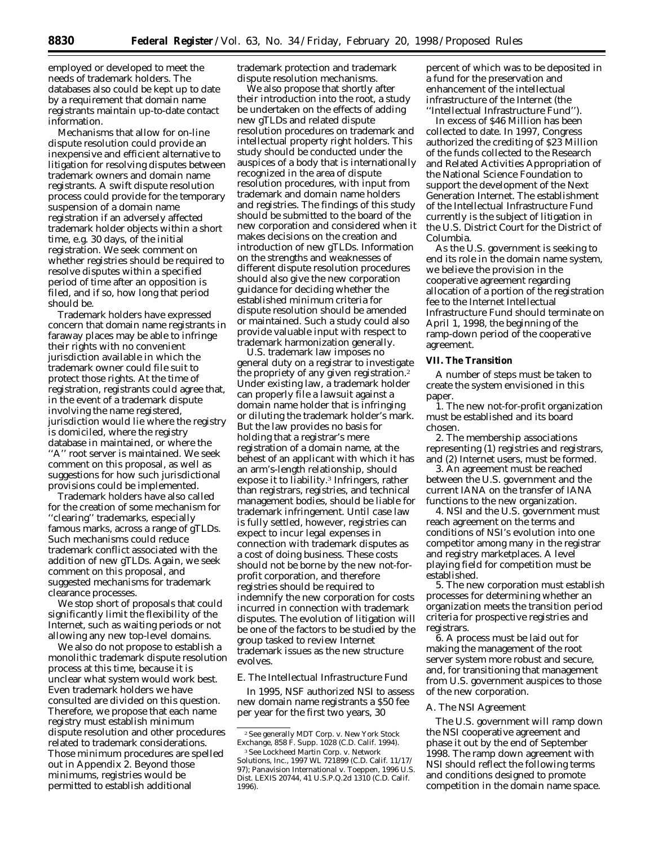employed or developed to meet the needs of trademark holders. The databases also could be kept up to date by a requirement that domain name registrants maintain up-to-date contact information.

Mechanisms that allow for on-line dispute resolution could provide an inexpensive and efficient alternative to litigation for resolving disputes between trademark owners and domain name registrants. A swift dispute resolution process could provide for the temporary suspension of a domain name registration if an adversely affected trademark holder objects within a short time, e.g. 30 days, of the initial registration. We seek comment on whether registries should be required to resolve disputes within a specified period of time after an opposition is filed, and if so, how long that period should be.

Trademark holders have expressed concern that domain name registrants in faraway places may be able to infringe their rights with no convenient jurisdiction available in which the trademark owner could file suit to protect those rights. At the time of registration, registrants could agree that, in the event of a trademark dispute involving the name registered, jurisdiction would lie where the registry is domiciled, where the registry database in maintained, or where the ''A'' root server is maintained. We seek comment on this proposal, as well as suggestions for how such jurisdictional provisions could be implemented.

Trademark holders have also called for the creation of some mechanism for ''clearing'' trademarks, especially famous marks, across a range of gTLDs. Such mechanisms could reduce trademark conflict associated with the addition of new gTLDs. Again, we seek comment on this proposal, and suggested mechanisms for trademark clearance processes.

We stop short of proposals that could significantly limit the flexibility of the Internet, such as waiting periods or not allowing any new top-level domains.

We also do not propose to establish a monolithic trademark dispute resolution process at this time, because it is unclear what system would work best. Even trademark holders we have consulted are divided on this question. Therefore, we propose that each name registry must establish minimum dispute resolution and other procedures related to trademark considerations. Those minimum procedures are spelled out in Appendix 2. Beyond those minimums, registries would be permitted to establish additional

trademark protection and trademark dispute resolution mechanisms.

We also propose that shortly after their introduction into the root, a study be undertaken on the effects of adding new gTLDs and related dispute resolution procedures on trademark and intellectual property right holders. This study should be conducted under the auspices of a body that is internationally recognized in the area of dispute resolution procedures, with input from trademark and domain name holders and registries. The findings of this study should be submitted to the board of the new corporation and considered when it makes decisions on the creation and introduction of new gTLDs. Information on the strengths and weaknesses of different dispute resolution procedures should also give the new corporation guidance for deciding whether the established minimum criteria for dispute resolution should be amended or maintained. Such a study could also provide valuable input with respect to trademark harmonization generally.

U.S. trademark law imposes no general duty on a registrar to investigate the propriety of any given registration.2 Under existing law, a trademark holder can properly file a lawsuit against a domain name holder that is infringing or diluting the trademark holder's mark. But the law provides no basis for holding that a registrar's mere registration of a domain name, at the behest of an applicant with which it has an arm's-length relationship, should expose it to liability.3 Infringers, rather than registrars, registries, and technical management bodies, should be liable for trademark infringement. Until case law is fully settled, however, registries can expect to incur legal expenses in connection with trademark disputes as a cost of doing business. These costs should not be borne by the new not-forprofit corporation, and therefore registries should be required to indemnify the new corporation for costs incurred in connection with trademark disputes. The evolution of litigation will be one of the factors to be studied by the group tasked to review Internet trademark issues as the new structure evolves.

### *E. The Intellectual Infrastructure Fund*

In 1995, NSF authorized NSI to assess new domain name registrants a \$50 fee per year for the first two years, 30

percent of which was to be deposited in a fund for the preservation and enhancement of the intellectual infrastructure of the Internet (the ''Intellectual Infrastructure Fund'').

In excess of \$46 Million has been collected to date. In 1997, Congress authorized the crediting of \$23 Million of the funds collected to the Research and Related Activities Appropriation of the National Science Foundation to support the development of the Next Generation Internet. The establishment of the Intellectual Infrastructure Fund currently is the subject of litigation in the U.S. District Court for the District of Columbia.

As the U.S. government is seeking to end its role in the domain name system, we believe the provision in the cooperative agreement regarding allocation of a portion of the registration fee to the Internet Intellectual Infrastructure Fund should terminate on April 1, 1998, the beginning of the ramp-down period of the cooperative agreement.

### **VII. The Transition**

A number of steps must be taken to create the system envisioned in this paper.

1. The new not-for-profit organization must be established and its board chosen.

2. The membership associations representing (1) registries and registrars, and (2) Internet users, must be formed.

3. An agreement must be reached between the U.S. government and the current IANA on the transfer of IANA functions to the new organization.

4. NSI and the U.S. government must reach agreement on the terms and conditions of NSI's evolution into one competitor among many in the registrar and registry marketplaces. A level playing field for competition must be established.

5. The new corporation must establish processes for determining whether an organization meets the transition period criteria for prospective registries and registrars.

6. A process must be laid out for making the management of the root server system more robust and secure, and, for transitioning that management from U.S. government auspices to those of the new corporation.

## *A. The NSI Agreement*

The U.S. government will ramp down the NSI cooperative agreement and phase it out by the end of September 1998. The ramp down agreement with NSI should reflect the following terms and conditions designed to promote competition in the domain name space.

<sup>2</sup>See generally *MDT Corp.* v. *New York Stock Exchange, 858 F. Supp. 1028 (C.D. Calif. 1994).*

<sup>3</sup>See *Lockheed Martin Corp.* v. *Network Solutions, Inc.,* 1997 WL 721899 (C.D. Calif. 11/17/ 97); *Panavision International* v. *Toeppen*, 1996 U.S. Dist. LEXIS 20744, 41 U.S.P.Q.2d 1310 (C.D. Calif. 1996).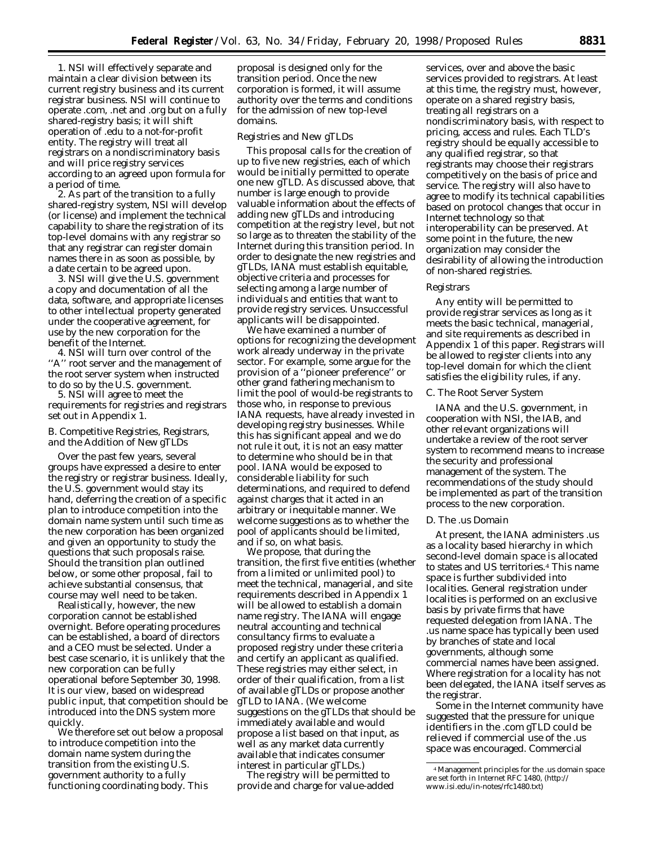1. NSI will effectively separate and maintain a clear division between its current registry business and its current registrar business. NSI will continue to operate .com, .net and .org but on a fully shared-registry basis; it will shift operation of .edu to a not-for-profit entity. The registry will treat all registrars on a nondiscriminatory basis and will price registry services according to an agreed upon formula for a period of time.

2. As part of the transition to a fully shared-registry system, NSI will develop (or license) and implement the technical capability to share the registration of its top-level domains with any registrar so that any registrar can register domain names there in as soon as possible, by a date certain to be agreed upon.

3. NSI will give the U.S. government a copy and documentation of all the data, software, and appropriate licenses to other intellectual property generated under the cooperative agreement, for use by the new corporation for the benefit of the Internet.

4. NSI will turn over control of the "A" root server and the management of the root server system when instructed to do so by the U.S. government.

5. NSI will agree to meet the requirements for registries and registrars set out in Appendix 1.

## *B. Competitive Registries, Registrars, and the Addition of New gTLDs*

Over the past few years, several groups have expressed a desire to enter the registry or registrar business. Ideally, the U.S. government would stay its hand, deferring the creation of a specific plan to introduce competition into the domain name system until such time as the new corporation has been organized and given an opportunity to study the questions that such proposals raise. Should the transition plan outlined below, or some other proposal, fail to achieve substantial consensus, that course may well need to be taken.

Realistically, however, the new corporation cannot be established overnight. Before operating procedures can be established, a board of directors and a CEO must be selected. Under a best case scenario, it is unlikely that the new corporation can be fully operational before September 30, 1998. It is our view, based on widespread public input, that competition should be introduced into the DNS system more quickly.

We therefore set out below a proposal to introduce competition into the domain name system during the transition from the existing U.S. government authority to a fully functioning coordinating body. This

proposal is designed only for the transition period. Once the new corporation is formed, it will assume authority over the terms and conditions for the admission of new top-level domains.

#### Registries and New gTLDs

This proposal calls for the creation of up to five new registries, each of which would be initially permitted to operate one new gTLD. As discussed above, that number is large enough to provide valuable information about the effects of adding new gTLDs and introducing competition at the registry level, but not so large as to threaten the stability of the Internet during this transition period. In order to designate the new registries and gTLDs, IANA must establish equitable, objective criteria and processes for selecting among a large number of individuals and entities that want to provide registry services. Unsuccessful applicants will be disappointed.

We have examined a number of options for recognizing the development work already underway in the private sector. For example, some argue for the provision of a ''pioneer preference'' or other grand fathering mechanism to limit the pool of would-be registrants to those who, in response to previous IANA requests, have already invested in developing registry businesses. While this has significant appeal and we do not rule it out, it is not an easy matter to determine who should be in that pool. IANA would be exposed to considerable liability for such determinations, and required to defend against charges that it acted in an arbitrary or inequitable manner. We welcome suggestions as to whether the pool of applicants should be limited, and if so, on what basis.

We propose, that during the transition, the first five entities (whether from a limited or unlimited pool) to meet the technical, managerial, and site requirements described in Appendix 1 will be allowed to establish a domain name registry. The IANA will engage neutral accounting and technical consultancy firms to evaluate a proposed registry under these criteria and certify an applicant as qualified. These registries may either select, in order of their qualification, from a list of available gTLDs or propose another gTLD to IANA. (We welcome suggestions on the gTLDs that should be immediately available and would propose a list based on that input, as well as any market data currently available that indicates consumer interest in particular gTLDs.)

The registry will be permitted to provide and charge for value-added

services, over and above the basic services provided to registrars. At least at this time, the registry must, however, operate on a shared registry basis, treating all registrars on a nondiscriminatory basis, with respect to pricing, access and rules. Each TLD's registry should be equally accessible to any qualified registrar, so that registrants may choose their registrars competitively on the basis of price and service. The registry will also have to agree to modify its technical capabilities based on protocol changes that occur in Internet technology so that interoperability can be preserved. At some point in the future, the new organization may consider the desirability of allowing the introduction of non-shared registries.

### Registrars

Any entity will be permitted to provide registrar services as long as it meets the basic technical, managerial, and site requirements as described in Appendix 1 of this paper. Registrars will be allowed to register clients into any top-level domain for which the client satisfies the eligibility rules, if any.

### *C. The Root Server System*

IANA and the U.S. government, in cooperation with NSI, the IAB, and other relevant organizations will undertake a review of the root server system to recommend means to increase the security and professional management of the system. The recommendations of the study should be implemented as part of the transition process to the new corporation.

#### *D. The .us Domain*

At present, the IANA administers .us as a locality based hierarchy in which second-level domain space is allocated to states and US territories.4 This name space is further subdivided into localities. General registration under localities is performed on an exclusive basis by private firms that have requested delegation from IANA. The .us name space has typically been used by branches of state and local governments, although some commercial names have been assigned. Where registration for a locality has not been delegated, the IANA itself serves as the registrar.

Some in the Internet community have suggested that the pressure for unique identifiers in the .com gTLD could be relieved if commercial use of the .us space was encouraged. Commercial

<sup>4</sup>Management principles for the .us domain space are set forth in Internet RFC 1480, (http:// www.isi.edu/in-notes/rfc1480.txt)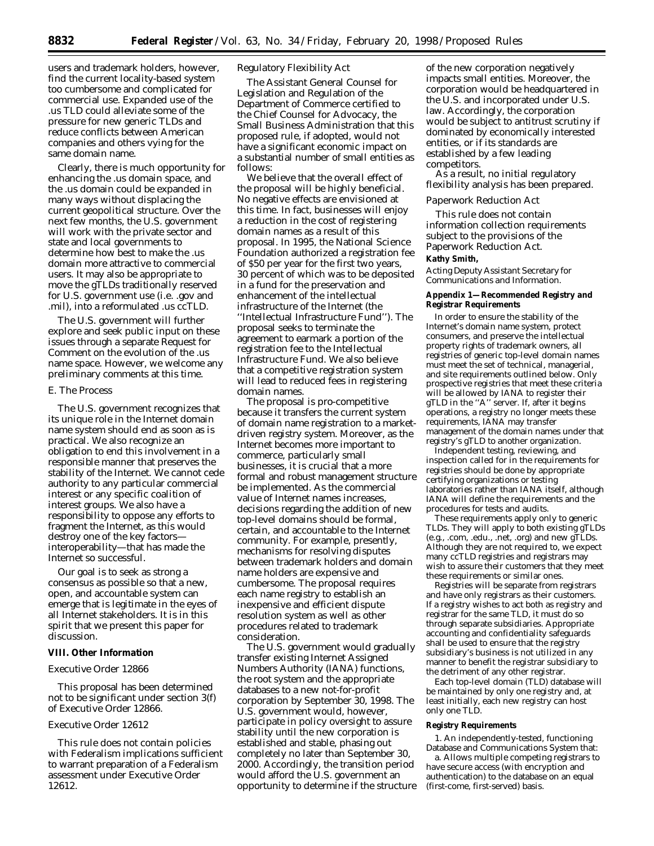users and trademark holders, however, find the current locality-based system too cumbersome and complicated for commercial use. Expanded use of the .us TLD could alleviate some of the pressure for new generic TLDs and reduce conflicts between American companies and others vying for the same domain name.

Clearly, there is much opportunity for enhancing the .us domain space, and the .us domain could be expanded in many ways without displacing the current geopolitical structure. Over the next few months, the U.S. government will work with the private sector and state and local governments to determine how best to make the .us domain more attractive to commercial users. It may also be appropriate to move the gTLDs traditionally reserved for U.S. government use (i.e. .gov and .mil), into a reformulated .us ccTLD.

The U.S. government will further explore and seek public input on these issues through a separate Request for Comment on the evolution of the .us name space. However, we welcome any preliminary comments at this time.

### *E. The Process*

The U.S. government recognizes that its unique role in the Internet domain name system should end as soon as is practical. We also recognize an obligation to end this involvement in a responsible manner that preserves the stability of the Internet. We cannot cede authority to any particular commercial interest or any specific coalition of interest groups. We also have a responsibility to oppose any efforts to fragment the Internet, as this would destroy one of the key factors interoperability—that has made the Internet so successful.

Our goal is to seek as strong a consensus as possible so that a new, open, and accountable system can emerge that is legitimate in the eyes of all Internet stakeholders. It is in this spirit that we present this paper for discussion.

#### **VIII. Other Information**

## *Executive Order 12866*

This proposal has been determined not to be significant under section 3(f) of Executive Order 12866.

## *Executive Order 12612*

This rule does not contain policies with Federalism implications sufficient to warrant preparation of a Federalism assessment under Executive Order 12612.

## *Regulatory Flexibility Act*

The Assistant General Counsel for Legislation and Regulation of the Department of Commerce certified to the Chief Counsel for Advocacy, the Small Business Administration that this proposed rule, if adopted, would not have a significant economic impact on a substantial number of small entities as follows:

We believe that the overall effect of the proposal will be highly beneficial. No negative effects are envisioned at this time. In fact, businesses will enjoy a reduction in the cost of registering domain names as a result of this proposal. In 1995, the National Science Foundation authorized a registration fee of \$50 per year for the first two years, 30 percent of which was to be deposited in a fund for the preservation and enhancement of the intellectual infrastructure of the Internet (the ''Intellectual Infrastructure Fund''). The proposal seeks to terminate the agreement to earmark a portion of the registration fee to the Intellectual Infrastructure Fund. We also believe that a competitive registration system will lead to reduced fees in registering domain names.

The proposal is pro-competitive because it transfers the current system of domain name registration to a marketdriven registry system. Moreover, as the Internet becomes more important to commerce, particularly small businesses, it is crucial that a more formal and robust management structure be implemented. As the commercial value of Internet names increases, decisions regarding the addition of new top-level domains should be formal, certain, and accountable to the Internet community. For example, presently, mechanisms for resolving disputes between trademark holders and domain name holders are expensive and cumbersome. The proposal requires each name registry to establish an inexpensive and efficient dispute resolution system as well as other procedures related to trademark consideration.

The U.S. government would gradually transfer existing Internet Assigned Numbers Authority (IANA) functions, the root system and the appropriate databases to a new not-for-profit corporation by September 30, 1998. The U.S. government would, however, participate in policy oversight to assure stability until the new corporation is established and stable, phasing out completely no later than September 30, 2000. Accordingly, the transition period would afford the U.S. government an opportunity to determine if the structure

of the new corporation negatively impacts small entities. Moreover, the corporation would be headquartered in the U.S. and incorporated under U.S. law. Accordingly, the corporation would be subject to antitrust scrutiny if dominated by economically interested entities, or if its standards are established by a few leading competitors.

As a result, no initial regulatory flexibility analysis has been prepared.

#### *Paperwork Reduction Act*

This rule does not contain information collection requirements subject to the provisions of the Paperwork Reduction Act.

# **Kathy Smith,**

*Acting Deputy Assistant Secretary for Communications and Information.*

#### **Appendix 1—Recommended Registry and Registrar Requirements**

In order to ensure the stability of the Internet's domain name system, protect consumers, and preserve the intellectual property rights of trademark owners, all registries of generic top-level domain names must meet the set of technical, managerial, and site requirements outlined below. Only prospective registries that meet these criteria will be allowed by IANA to register their gTLD in the ''A'' server. If, after it begins operations, a registry no longer meets these requirements, IANA may transfer management of the domain names under that registry's gTLD to another organization.

Independent testing, reviewing, and inspection called for in the requirements for registries should be done by appropriate certifying organizations or testing laboratories rather than IANA itself, although IANA will define the requirements and the procedures for tests and audits.

These requirements apply only to generic TLDs. They will apply to both existing gTLDs (e.g., .com, .edu., .net, .org) and new gTLDs. Although they are not required to, we expect many ccTLD registries and registrars may wish to assure their customers that they meet these requirements or similar ones.

Registries will be separate from registrars and have only registrars as their customers. If a registry wishes to act both as registry and registrar for the same TLD, it must do so through separate subsidiaries. Appropriate accounting and confidentiality safeguards shall be used to ensure that the registry subsidiary's business is not utilized in any manner to benefit the registrar subsidiary to the detriment of any other registrar.

Each top-level domain (TLD) database will be maintained by only one registry and, at least initially, each new registry can host only one TLD.

#### **Registry Requirements**

1. An independently-tested, functioning Database and Communications System that:

a. Allows multiple competing registrars to have secure access (with encryption and authentication) to the database on an equal (first-come, first-served) basis.